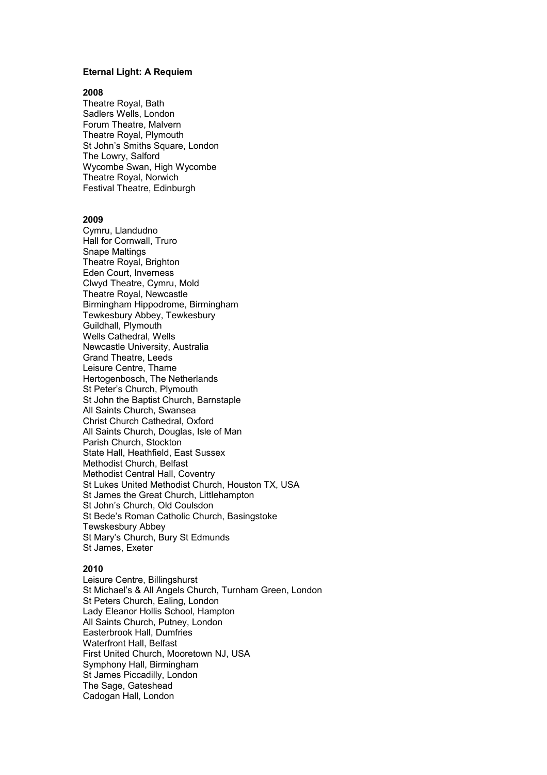## **Eternal Light: A Requiem**

## **2008**

Theatre Royal, Bath Sadlers Wells, London Forum Theatre, Malvern Theatre Royal, Plymouth St John's Smiths Square, London The Lowry, Salford Wycombe Swan, High Wycombe Theatre Royal, Norwich Festival Theatre, Edinburgh

#### **2009**

Cymru, Llandudno Hall for Cornwall, Truro Snape Maltings Theatre Royal, Brighton Eden Court, Inverness Clwyd Theatre, Cymru, Mold Theatre Royal, Newcastle Birmingham Hippodrome, Birmingham Tewkesbury Abbey, Tewkesbury Guildhall, Plymouth Wells Cathedral, Wells Newcastle University, Australia Grand Theatre, Leeds Leisure Centre, Thame Hertogenbosch, The Netherlands St Peter's Church, Plymouth St John the Baptist Church, Barnstaple All Saints Church, Swansea Christ Church Cathedral, Oxford All Saints Church, Douglas, Isle of Man Parish Church, Stockton State Hall, Heathfield, East Sussex Methodist Church, Belfast Methodist Central Hall, Coventry St Lukes United Methodist Church, Houston TX, USA St James the Great Church, Littlehampton St John's Church, Old Coulsdon St Bede's Roman Catholic Church, Basingstoke Tewskesbury Abbey St Mary's Church, Bury St Edmunds St James, Exeter

# **2010**

Leisure Centre, Billingshurst St Michael's & All Angels Church, Turnham Green, London St Peters Church, Ealing, London Lady Eleanor Hollis School, Hampton All Saints Church, Putney, London Easterbrook Hall, Dumfries Waterfront Hall, Belfast First United Church, Mooretown NJ, USA Symphony Hall, Birmingham St James Piccadilly, London The Sage, Gateshead Cadogan Hall, London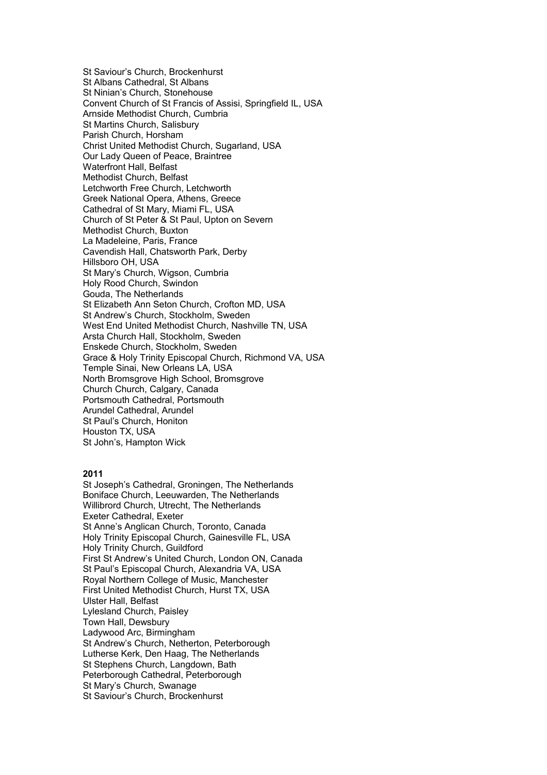St Saviour's Church, Brockenhurst St Albans Cathedral, St Albans St Ninian's Church, Stonehouse Convent Church of St Francis of Assisi, Springfield IL, USA Arnside Methodist Church, Cumbria St Martins Church, Salisbury Parish Church, Horsham Christ United Methodist Church, Sugarland, USA Our Lady Queen of Peace, Braintree Waterfront Hall, Belfast Methodist Church, Belfast Letchworth Free Church, Letchworth Greek National Opera, Athens, Greece Cathedral of St Mary, Miami FL, USA Church of St Peter & St Paul, Upton on Severn Methodist Church, Buxton La Madeleine, Paris, France Cavendish Hall, Chatsworth Park, Derby Hillsboro OH, USA St Mary's Church, Wigson, Cumbria Holy Rood Church, Swindon Gouda, The Netherlands St Elizabeth Ann Seton Church, Crofton MD, USA St Andrew's Church, Stockholm, Sweden West End United Methodist Church, Nashville TN, USA Arsta Church Hall, Stockholm, Sweden Enskede Church, Stockholm, Sweden Grace & Holy Trinity Episcopal Church, Richmond VA, USA Temple Sinai, New Orleans LA, USA North Bromsgrove High School, Bromsgrove Church Church, Calgary, Canada Portsmouth Cathedral, Portsmouth Arundel Cathedral, Arundel St Paul's Church, Honiton Houston TX, USA St John's, Hampton Wick

# **2011**

St Joseph's Cathedral, Groningen, The Netherlands Boniface Church, Leeuwarden, The Netherlands Willibrord Church, Utrecht, The Netherlands Exeter Cathedral, Exeter St Anne's Anglican Church, Toronto, Canada Holy Trinity Episcopal Church, Gainesville FL, USA Holy Trinity Church, Guildford First St Andrew's United Church, London ON, Canada St Paul's Episcopal Church, Alexandria VA, USA Royal Northern College of Music, Manchester First United Methodist Church, Hurst TX, USA Ulster Hall, Belfast Lylesland Church, Paisley Town Hall, Dewsbury Ladywood Arc, Birmingham St Andrew's Church, Netherton, Peterborough Lutherse Kerk, Den Haag, The Netherlands St Stephens Church, Langdown, Bath Peterborough Cathedral, Peterborough St Mary's Church, Swanage St Saviour's Church, Brockenhurst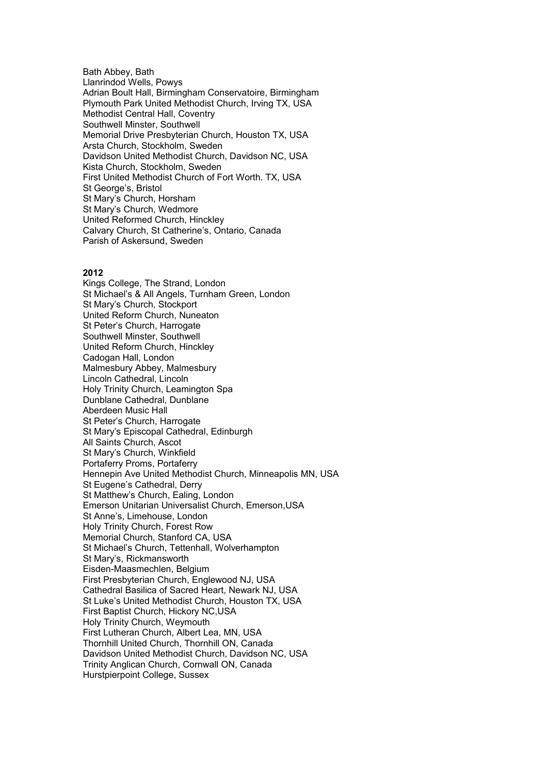Bath Abbey, Bath Llanrindod Wells, Powys Adrian Boult Hall, Birmingham Conservatoire, Birmingham Plymouth Park United Methodist Church, Irving TX, USA Methodist Central Hall, Coventry Southwell Minster, Southwell Memorial Drive Presbyterian Church, Houston TX, USA Arsta Church, Stockholm, Sweden Davidson United Methodist Church, Davidson NC, USA Kista Church, Stockholm, Sweden First United Methodist Church of Fort Worth. TX, USA St George's, Bristol St Mary's Church, Horsham St Mary's Church, Wedmore United Reformed Church, Hinckley Calvary Church, St Catherine's, Ontario, Canada Parish of Askersund, Sweden

## **2012**

Kings College, The Strand, London St Michael's & All Angels, Turnham Green, London St Mary's Church, Stockport United Reform Church, Nuneaton St Peter's Church, Harrogate Southwell Minster, Southwell United Reform Church, Hinckley Cadogan Hall, London Malmesbury Abbey, Malmesbury Lincoln Cathedral, Lincoln Holy Trinity Church, Leamington Spa Dunblane Cathedral, Dunblane Aberdeen Music Hall St Peter's Church, Harrogate St Mary's Episcopal Cathedral, Edinburgh All Saints Church, Ascot St Mary's Church, Winkfield Portaferry Proms, Portaferry Hennepin Ave United Methodist Church, Minneapolis MN, USA St Eugene's Cathedral, Derry St Matthew's Church, Ealing, London Emerson Unitarian Universalist Church, Emerson,USA St Anne's, Limehouse, London Holy Trinity Church, Forest Row Memorial Church, Stanford CA, USA St Michael's Church, Tettenhall, Wolverhampton St Mary's, Rickmansworth Eisden-Maasmechlen, Belgium First Presbyterian Church, Englewood NJ, USA Cathedral Basilica of Sacred Heart, Newark NJ, USA St Luke's United Methodist Church, Houston TX, USA First Baptist Church, Hickory NC,USA Holy Trinity Church, Weymouth First Lutheran Church, Albert Lea, MN, USA Thornhill United Church, Thornhill ON, Canada Davidson United Methodist Church, Davidson NC, USA Trinity Anglican Church, Cornwall ON, Canada Hurstpierpoint College, Sussex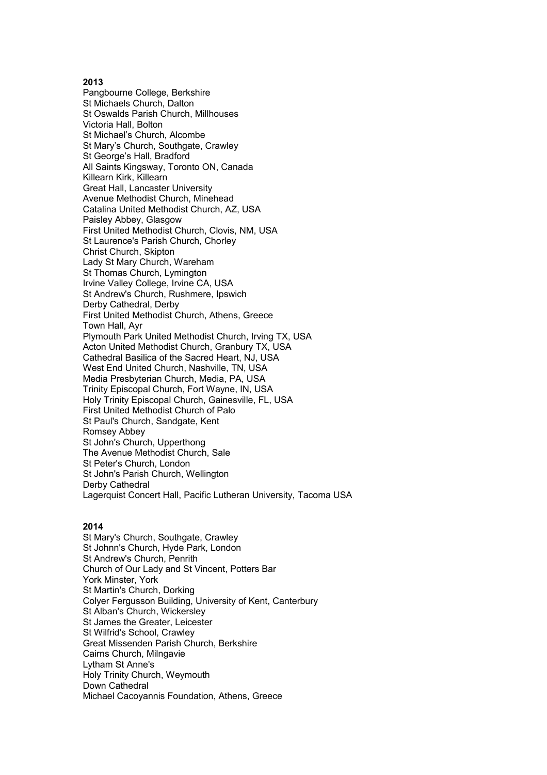# **2013**

Pangbourne College, Berkshire St Michaels Church, Dalton St Oswalds Parish Church, Millhouses Victoria Hall, Bolton St Michael's Church, Alcombe St Mary's Church, Southgate, Crawley St George's Hall, Bradford All Saints Kingsway, Toronto ON, Canada Killearn Kirk, Killearn Great Hall, Lancaster University Avenue Methodist Church, Minehead Catalina United Methodist Church, AZ, USA Paisley Abbey, Glasgow First United Methodist Church, Clovis, NM, USA St Laurence's Parish Church, Chorley Christ Church, Skipton Lady St Mary Church, Wareham St Thomas Church, Lymington Irvine Valley College, Irvine CA, USA St Andrew's Church, Rushmere, Ipswich Derby Cathedral, Derby First United Methodist Church, Athens, Greece Town Hall, Ayr Plymouth Park United Methodist Church, Irving TX, USA Acton United Methodist Church, Granbury TX, USA Cathedral Basilica of the Sacred Heart, NJ, USA West End United Church, Nashville, TN, USA Media Presbyterian Church, Media, PA, USA Trinity Episcopal Church, Fort Wayne, IN, USA Holy Trinity Episcopal Church, Gainesville, FL, USA First United Methodist Church of Palo St Paul's Church, Sandgate, Kent Romsey Abbey St John's Church, Upperthong The Avenue Methodist Church, Sale St Peter's Church, London St John's Parish Church, Wellington Derby Cathedral Lagerquist Concert Hall, Pacific Lutheran University, Tacoma USA

# **2014**

St Mary's Church, Southgate, Crawley St Johnn's Church, Hyde Park, London St Andrew's Church, Penrith Church of Our Lady and St Vincent, Potters Bar York Minster, York St Martin's Church, Dorking Colyer Fergusson Building, University of Kent, Canterbury St Alban's Church, Wickersley St James the Greater, Leicester St Wilfrid's School, Crawley Great Missenden Parish Church, Berkshire Cairns Church, Milngavie Lytham St Anne's Holy Trinity Church, Weymouth Down Cathedral Michael Cacoyannis Foundation, Athens, Greece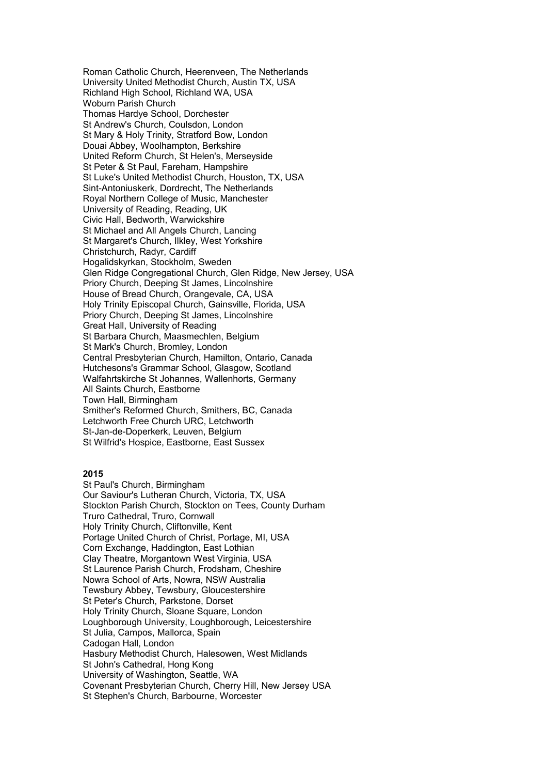Roman Catholic Church, Heerenveen, The Netherlands University United Methodist Church, Austin TX, USA Richland High School, Richland WA, USA Woburn Parish Church Thomas Hardye School, Dorchester St Andrew's Church, Coulsdon, London St Mary & Holy Trinity, Stratford Bow, London Douai Abbey, Woolhampton, Berkshire United Reform Church, St Helen's, Merseyside St Peter & St Paul, Fareham, Hampshire St Luke's United Methodist Church, Houston, TX, USA Sint-Antoniuskerk, Dordrecht, The Netherlands Royal Northern College of Music, Manchester University of Reading, Reading, UK Civic Hall, Bedworth, Warwickshire St Michael and All Angels Church, Lancing St Margaret's Church, Ilkley, West Yorkshire Christchurch, Radyr, Cardiff Hogalidskyrkan, Stockholm, Sweden Glen Ridge Congregational Church, Glen Ridge, New Jersey, USA Priory Church, Deeping St James, Lincolnshire House of Bread Church, Orangevale, CA, USA Holy Trinity Episcopal Church, Gainsville, Florida, USA Priory Church, Deeping St James, Lincolnshire Great Hall, University of Reading St Barbara Church, Maasmechlen, Belgium St Mark's Church, Bromley, London Central Presbyterian Church, Hamilton, Ontario, Canada Hutchesons's Grammar School, Glasgow, Scotland Walfahrtskirche St Johannes, Wallenhorts, Germany All Saints Church, Eastborne Town Hall, Birmingham Smither's Reformed Church, Smithers, BC, Canada Letchworth Free Church URC, Letchworth St-Jan-de-Doperkerk, Leuven, Belgium St Wilfrid's Hospice, Eastborne, East Sussex

# **2015**

St Paul's Church, Birmingham Our Saviour's Lutheran Church, Victoria, TX, USA Stockton Parish Church, Stockton on Tees, County Durham Truro Cathedral, Truro, Cornwall Holy Trinity Church, Cliftonville, Kent Portage United Church of Christ, Portage, MI, USA Corn Exchange, Haddington, East Lothian Clay Theatre, Morgantown West Virginia, USA St Laurence Parish Church, Frodsham, Cheshire Nowra School of Arts, Nowra, NSW Australia Tewsbury Abbey, Tewsbury, Gloucestershire St Peter's Church, Parkstone, Dorset Holy Trinity Church, Sloane Square, London Loughborough University, Loughborough, Leicestershire St Julia, Campos, Mallorca, Spain Cadogan Hall, London Hasbury Methodist Church, Halesowen, West Midlands St John's Cathedral, Hong Kong University of Washington, Seattle, WA Covenant Presbyterian Church, Cherry Hill, New Jersey USA St Stephen's Church, Barbourne, Worcester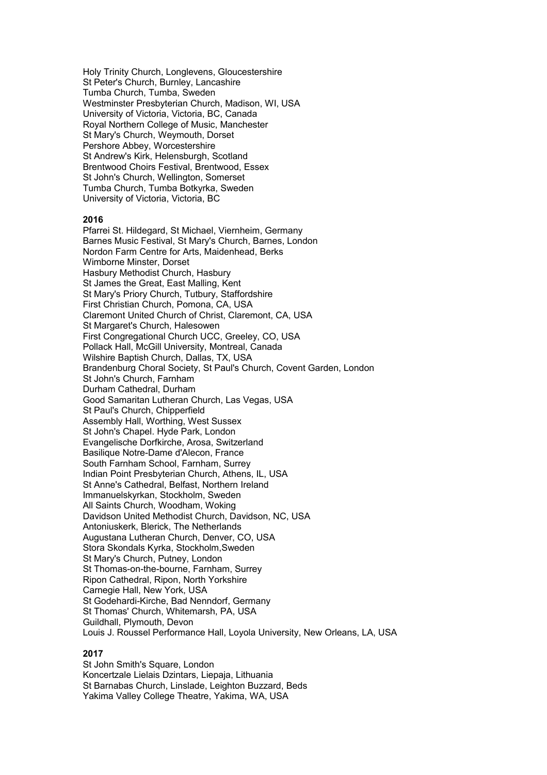Holy Trinity Church, Longlevens, Gloucestershire St Peter's Church, Burnley, Lancashire Tumba Church, Tumba, Sweden Westminster Presbyterian Church, Madison, WI, USA University of Victoria, Victoria, BC, Canada Royal Northern College of Music, Manchester St Mary's Church, Weymouth, Dorset Pershore Abbey, Worcestershire St Andrew's Kirk, Helensburgh, Scotland Brentwood Choirs Festival, Brentwood, Essex St John's Church, Wellington, Somerset Tumba Church, Tumba Botkyrka, Sweden University of Victoria, Victoria, BC

# **2016**

Pfarrei St. Hildegard, St Michael, Viernheim, Germany Barnes Music Festival, St Mary's Church, Barnes, London Nordon Farm Centre for Arts, Maidenhead, Berks Wimborne Minster, Dorset Hasbury Methodist Church, Hasbury St James the Great, East Malling, Kent St Mary's Priory Church, Tutbury, Staffordshire First Christian Church, Pomona, CA, USA Claremont United Church of Christ, Claremont, CA, USA St Margaret's Church, Halesowen First Congregational Church UCC, Greeley, CO, USA Pollack Hall, McGill University, Montreal, Canada Wilshire Baptish Church, Dallas, TX, USA Brandenburg Choral Society, St Paul's Church, Covent Garden, London St John's Church, Farnham Durham Cathedral, Durham Good Samaritan Lutheran Church, Las Vegas, USA St Paul's Church, Chipperfield Assembly Hall, Worthing, West Sussex St John's Chapel. Hyde Park, London Evangelische Dorfkirche, Arosa, Switzerland Basilique Notre-Dame d'Alecon, France South Farnham School, Farnham, Surrey Indian Point Presbyterian Church, Athens, IL, USA St Anne's Cathedral, Belfast, Northern Ireland Immanuelskyrkan, Stockholm, Sweden All Saints Church, Woodham, Woking Davidson United Methodist Church, Davidson, NC, USA Antoniuskerk, Blerick, The Netherlands Augustana Lutheran Church, Denver, CO, USA Stora Skondals Kyrka, Stockholm,Sweden St Mary's Church, Putney, London St Thomas-on-the-bourne, Farnham, Surrey Ripon Cathedral, Ripon, North Yorkshire Carnegie Hall, New York, USA St Godehardi-Kirche, Bad Nenndorf, Germany St Thomas' Church, Whitemarsh, PA, USA Guildhall, Plymouth, Devon Louis J. Roussel Performance Hall, Loyola University, New Orleans, LA, USA

#### **2017**

St John Smith's Square, London Koncertzale Lielais Dzintars, Liepaja, Lithuania St Barnabas Church, Linslade, Leighton Buzzard, Beds Yakima Valley College Theatre, Yakima, WA, USA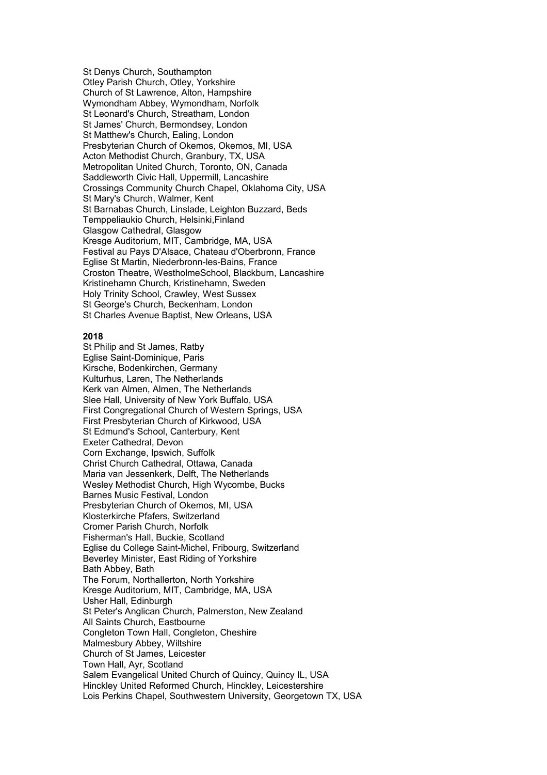St Denys Church, Southampton Otley Parish Church, Otley, Yorkshire Church of St Lawrence, Alton, Hampshire Wymondham Abbey, Wymondham, Norfolk St Leonard's Church, Streatham, London St James' Church, Bermondsey, London St Matthew's Church, Ealing, London Presbyterian Church of Okemos, Okemos, MI, USA Acton Methodist Church, Granbury, TX, USA Metropolitan United Church, Toronto, ON, Canada Saddleworth Civic Hall, Uppermill, Lancashire Crossings Community Church Chapel, Oklahoma City, USA St Mary's Church, Walmer, Kent St Barnabas Church, Linslade, Leighton Buzzard, Beds Temppeliaukio Church, Helsinki,Finland Glasgow Cathedral, Glasgow Kresge Auditorium, MIT, Cambridge, MA, USA Festival au Pays D'Alsace, Chateau d'Oberbronn, France Eglise St Martin, Niederbronn-les-Bains, France Croston Theatre, WestholmeSchool, Blackburn, Lancashire Kristinehamn Church, Kristinehamn, Sweden Holy Trinity School, Crawley, West Sussex St George's Church, Beckenham, London St Charles Avenue Baptist, New Orleans, USA

## **2018**

St Philip and St James, Ratby Eglise Saint-Dominique, Paris Kirsche, Bodenkirchen, Germany Kulturhus, Laren, The Netherlands Kerk van Almen, Almen, The Netherlands Slee Hall, University of New York Buffalo, USA First Congregational Church of Western Springs, USA First Presbyterian Church of Kirkwood, USA St Edmund's School, Canterbury, Kent Exeter Cathedral, Devon Corn Exchange, Ipswich, Suffolk Christ Church Cathedral, Ottawa, Canada Maria van Jessenkerk, Delft, The Netherlands Wesley Methodist Church, High Wycombe, Bucks Barnes Music Festival, London Presbyterian Church of Okemos, MI, USA Klosterkirche Pfafers, Switzerland Cromer Parish Church, Norfolk Fisherman's Hall, Buckie, Scotland Eglise du College Saint-Michel, Fribourg, Switzerland Beverley Minister, East Riding of Yorkshire Bath Abbey, Bath The Forum, Northallerton, North Yorkshire Kresge Auditorium, MIT, Cambridge, MA, USA Usher Hall, Edinburgh St Peter's Anglican Church, Palmerston, New Zealand All Saints Church, Eastbourne Congleton Town Hall, Congleton, Cheshire Malmesbury Abbey, Wiltshire Church of St James, Leicester Town Hall, Ayr, Scotland Salem Evangelical United Church of Quincy, Quincy IL, USA Hinckley United Reformed Church, Hinckley, Leicestershire Lois Perkins Chapel, Southwestern University, Georgetown TX, USA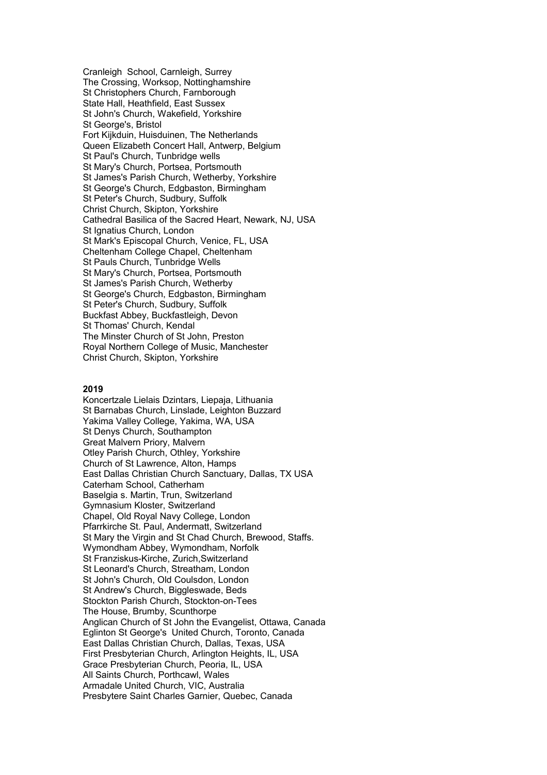Cranleigh School, Carnleigh, Surrey The Crossing, Worksop, Nottinghamshire St Christophers Church, Farnborough State Hall, Heathfield, East Sussex St John's Church, Wakefield, Yorkshire St George's, Bristol Fort Kijkduin, Huisduinen, The Netherlands Queen Elizabeth Concert Hall, Antwerp, Belgium St Paul's Church, Tunbridge wells St Mary's Church, Portsea, Portsmouth St James's Parish Church, Wetherby, Yorkshire St George's Church, Edgbaston, Birmingham St Peter's Church, Sudbury, Suffolk Christ Church, Skipton, Yorkshire Cathedral Basilica of the Sacred Heart, Newark, NJ, USA St Ignatius Church, London St Mark's Episcopal Church, Venice, FL, USA Cheltenham College Chapel, Cheltenham St Pauls Church, Tunbridge Wells St Mary's Church, Portsea, Portsmouth St James's Parish Church, Wetherby St George's Church, Edgbaston, Birmingham St Peter's Church, Sudbury, Suffolk Buckfast Abbey, Buckfastleigh, Devon St Thomas' Church, Kendal The Minster Church of St John, Preston Royal Northern College of Music, Manchester Christ Church, Skipton, Yorkshire

# **2019**

Koncertzale Lielais Dzintars, Liepaja, Lithuania St Barnabas Church, Linslade, Leighton Buzzard Yakima Valley College, Yakima, WA, USA St Denys Church, Southampton Great Malvern Priory, Malvern Otley Parish Church, Othley, Yorkshire Church of St Lawrence, Alton, Hamps East Dallas Christian Church Sanctuary, Dallas, TX USA Caterham School, Catherham Baselgia s. Martin, Trun, Switzerland Gymnasium Kloster, Switzerland Chapel, Old Royal Navy College, London Pfarrkirche St. Paul, Andermatt, Switzerland St Mary the Virgin and St Chad Church, Brewood, Staffs. Wymondham Abbey, Wymondham, Norfolk St Franziskus-Kirche, Zurich,Switzerland St Leonard's Church, Streatham, London St John's Church, Old Coulsdon, London St Andrew's Church, Biggleswade, Beds Stockton Parish Church, Stockton-on-Tees The House, Brumby, Scunthorpe Anglican Church of St John the Evangelist, Ottawa, Canada Eglinton St George's United Church, Toronto, Canada East Dallas Christian Church, Dallas, Texas, USA First Presbyterian Church, Arlington Heights, IL, USA Grace Presbyterian Church, Peoria, IL, USA All Saints Church, Porthcawl, Wales Armadale United Church, VIC, Australia Presbytere Saint Charles Garnier, Quebec, Canada